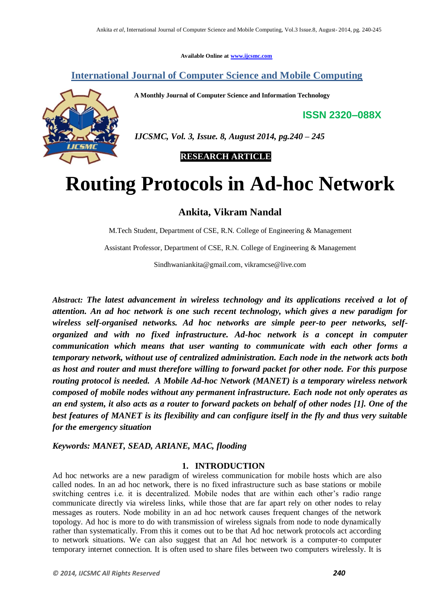**Available Online at www.ijcsmc.com**

**International Journal of Computer Science and Mobile Computing**

 **A Monthly Journal of Computer Science and Information Technology**

**ISSN 2320–088X**



 *IJCSMC, Vol. 3, Issue. 8, August 2014, pg.240 – 245*

 **RESEARCH ARTICLE**

# **Routing Protocols in Ad-hoc Network**

# **Ankita, Vikram Nandal**

M.Tech Student, Department of CSE, R.N. College of Engineering & Management

Assistant Professor, Department of CSE, R.N. College of Engineering & Management

Sindhwaniankita@gmail.com, vikramcse@live.com

*Abstract: The latest advancement in wireless technology and its applications received a lot of attention. An ad hoc network is one such recent technology, which gives a new paradigm for wireless self-organised networks. Ad hoc networks are simple peer-to peer networks, selforganized and with no fixed infrastructure. Ad-hoc network is a concept in computer communication which means that user wanting to communicate with each other forms a temporary network, without use of centralized administration. Each node in the network acts both as host and router and must therefore willing to forward packet for other node. For this purpose routing protocol is needed. A Mobile Ad-hoc Network (MANET) is a temporary wireless network composed of mobile nodes without any permanent infrastructure. Each node not only operates as an end system, it also acts as a router to forward packets on behalf of other nodes [1]. One of the best features of MANET is its flexibility and can configure itself in the fly and thus very suitable for the emergency situation*

*Keywords: MANET, SEAD, ARIANE, MAC, flooding*

#### **1. INTRODUCTION**

Ad hoc networks are a new paradigm of wireless communication for mobile hosts which are also called nodes. In an ad hoc network, there is no fixed infrastructure such as base stations or mobile switching centres i.e. it is decentralized. Mobile nodes that are within each other's radio range communicate directly via wireless links, while those that are far apart rely on other nodes to relay messages as routers. Node mobility in an ad hoc network causes frequent changes of the network topology. Ad hoc is more to do with transmission of wireless signals from node to node dynamically rather than systematically. From this it comes out to be that Ad hoc network protocols act according to network situations. We can also suggest that an Ad hoc network is a computer-to computer temporary internet connection. It is often used to share files between two computers wirelessly. It is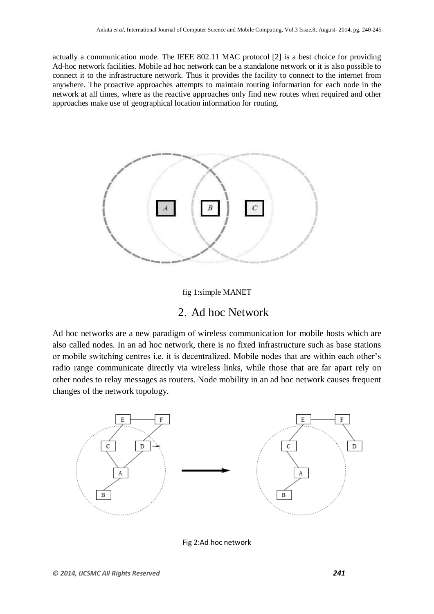actually a communication mode. The IEEE 802.11 MAC protocol [2] is a best choice for providing Ad-hoc network facilities. Mobile ad hoc network can be a standalone network or it is also possible to connect it to the infrastructure network. Thus it provides the facility to connect to the internet from anywhere. The proactive approaches attempts to maintain routing information for each node in the network at all times, where as the reactive approaches only find new routes when required and other approaches make use of geographical location information for routing.



#### fig 1:simple MANET

## 2. Ad hoc Network

Ad hoc networks are a new paradigm of wireless communication for mobile hosts which are also called nodes. In an ad hoc network, there is no fixed infrastructure such as base stations or mobile switching centres i.e. it is decentralized. Mobile nodes that are within each other's radio range communicate directly via wireless links, while those that are far apart rely on other nodes to relay messages as routers. Node mobility in an ad hoc network causes frequent changes of the network topology.



Fig 2:Ad hoc network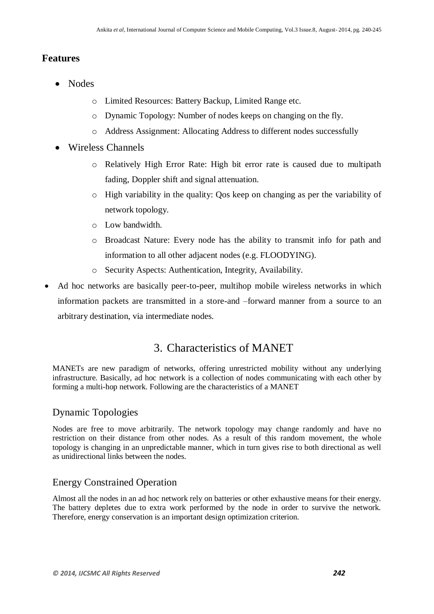#### **Features**

- Nodes
	- o Limited Resources: Battery Backup, Limited Range etc.
	- o Dynamic Topology: Number of nodes keeps on changing on the fly.
	- o Address Assignment: Allocating Address to different nodes successfully
- Wireless Channels
	- o Relatively High Error Rate: High bit error rate is caused due to multipath fading, Doppler shift and signal attenuation.
	- o High variability in the quality: Qos keep on changing as per the variability of network topology.
	- o Low bandwidth.
	- o Broadcast Nature: Every node has the ability to transmit info for path and information to all other adjacent nodes (e.g. FLOODYING).
	- o Security Aspects: Authentication, Integrity, Availability.
- Ad hoc networks are basically peer-to-peer, multihop mobile wireless networks in which information packets are transmitted in a store-and –forward manner from a source to an arbitrary destination, via intermediate nodes.

# 3. Characteristics of MANET

MANETs are new paradigm of networks, offering unrestricted mobility without any underlying infrastructure. Basically, ad hoc network is a collection of nodes communicating with each other by forming a multi-hop network. Following are the characteristics of a MANET

# Dynamic Topologies

Nodes are free to move arbitrarily. The network topology may change randomly and have no restriction on their distance from other nodes. As a result of this random movement, the whole topology is changing in an unpredictable manner, which in turn gives rise to both directional as well as unidirectional links between the nodes.

# Energy Constrained Operation

Almost all the nodes in an ad hoc network rely on batteries or other exhaustive means for their energy. The battery depletes due to extra work performed by the node in order to survive the network. Therefore, energy conservation is an important design optimization criterion.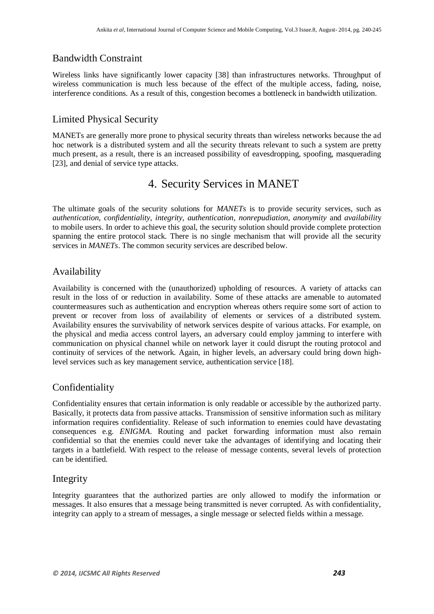## Bandwidth Constraint

Wireless links have significantly lower capacity [38] than infrastructures networks. Throughput of wireless communication is much less because of the effect of the multiple access, fading, noise, interference conditions. As a result of this, congestion becomes a bottleneck in bandwidth utilization.

## Limited Physical Security

MANETs are generally more prone to physical security threats than wireless networks because the ad hoc network is a distributed system and all the security threats relevant to such a system are pretty much present, as a result, there is an increased possibility of eavesdropping, spoofing, masquerading [23], and denial of service type attacks.

# 4. Security Services in MANET

The ultimate goals of the security solutions for *MANETs* is to provide security services, such as *authentication, confidentiality, integrity, authentication, nonrepudiation, anonymity* and *availabilit*y to mobile users. In order to achieve this goal, the security solution should provide complete protection spanning the entire protocol stack. There is no single mechanism that will provide all the security services in *MANETs*. The common security services are described below.

## Availability

Availability is concerned with the (unauthorized) upholding of resources. A variety of attacks can result in the loss of or reduction in availability. Some of these attacks are amenable to automated countermeasures such as authentication and encryption whereas others require some sort of action to prevent or recover from loss of availability of elements or services of a distributed system. Availability ensures the survivability of network services despite of various attacks. For example, on the physical and media access control layers, an adversary could employ jamming to interfere with communication on physical channel while on network layer it could disrupt the routing protocol and continuity of services of the network. Again, in higher levels, an adversary could bring down highlevel services such as key management service, authentication service [18].

## Confidentiality

Confidentiality ensures that certain information is only readable or accessible by the authorized party. Basically, it protects data from passive attacks. Transmission of sensitive information such as military information requires confidentiality. Release of such information to enemies could have devastating consequences e.g. *ENIGMA*. Routing and packet forwarding information must also remain confidential so that the enemies could never take the advantages of identifying and locating their targets in a battlefield. With respect to the release of message contents, several levels of protection can be identified.

## Integrity

Integrity guarantees that the authorized parties are only allowed to modify the information or messages. It also ensures that a message being transmitted is never corrupted. As with confidentiality, integrity can apply to a stream of messages, a single message or selected fields within a message.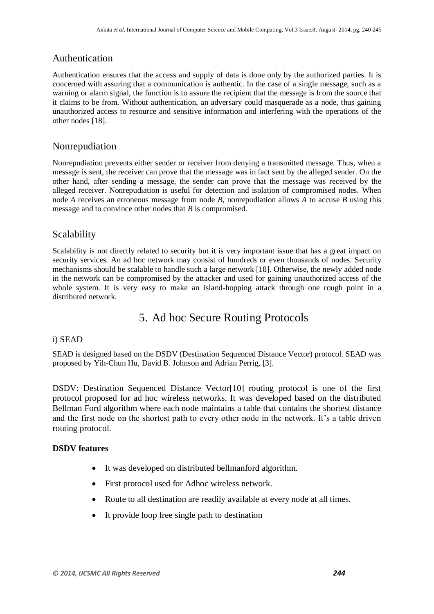#### Authentication

Authentication ensures that the access and supply of data is done only by the authorized parties. It is concerned with assuring that a communication is authentic. In the case of a single message, such as a warning or alarm signal, the function is to assure the recipient that the message is from the source that it claims to be from. Without authentication, an adversary could masquerade as a node, thus gaining unauthorized access to resource and sensitive information and interfering with the operations of the other nodes [18].

#### Nonrepudiation

Nonrepudiation prevents either sender or receiver from denying a transmitted message. Thus, when a message is sent, the receiver can prove that the message was in fact sent by the alleged sender. On the other hand, after sending a message, the sender can prove that the message was received by the alleged receiver. Nonrepudiation is useful for detection and isolation of compromised nodes. When node *A* receives an erroneous message from node *B*, nonrepudiation allows *A* to accuse *B* using this message and to convince other nodes that *B* is compromised.

## Scalability

Scalability is not directly related to security but it is very important issue that has a great impact on security services. An ad hoc network may consist of hundreds or even thousands of nodes. Security mechanisms should be scalable to handle such a large network [18]. Otherwise, the newly added node in the network can be compromised by the attacker and used for gaining unauthorized access of the whole system. It is very easy to make an island-hopping attack through one rough point in a distributed network.

# 5. Ad hoc Secure Routing Protocols

#### i) SEAD

SEAD is designed based on the DSDV (Destination Sequenced Distance Vector) protocol. SEAD was proposed by Yih-Chun Hu, David B. Johnson and Adrian Perrig, [3].

DSDV: Destination Sequenced Distance Vector[10] routing protocol is one of the first protocol proposed for ad hoc wireless networks. It was developed based on the distributed Bellman Ford algorithm where each node maintains a table that contains the shortest distance and the first node on the shortest path to every other node in the network. It's a table driven routing protocol.

#### **DSDV features**

- It was developed on distributed bellmanford algorithm.
- First protocol used for Adhoc wireless network.
- Route to all destination are readily available at every node at all times.
- It provide loop free single path to destination